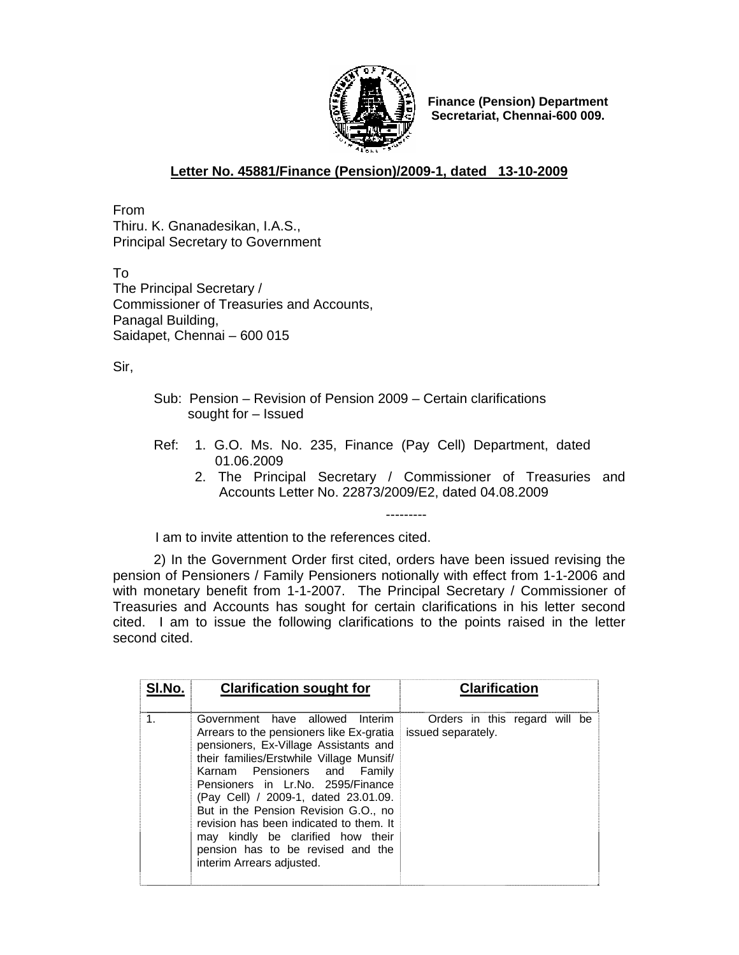

**Finance (Pension) Department Secretariat, Chennai-600 009.** 

## **Letter No. 45881/Finance (Pension)/2009-1, dated 13-10-2009**

From Thiru. K. Gnanadesikan, I.A.S., Principal Secretary to Government

To The Principal Secretary / Commissioner of Treasuries and Accounts, Panagal Building, Saidapet, Chennai – 600 015

Sir,

- Sub: Pension Revision of Pension 2009 Certain clarifications sought for – Issued
- Ref: 1. G.O. Ms. No. 235, Finance (Pay Cell) Department, dated 01.06.2009
	- 2. The Principal Secretary / Commissioner of Treasuries and Accounts Letter No. 22873/2009/E2, dated 04.08.2009

---------

I am to invite attention to the references cited.

 2) In the Government Order first cited, orders have been issued revising the pension of Pensioners / Family Pensioners notionally with effect from 1-1-2006 and with monetary benefit from 1-1-2007. The Principal Secretary / Commissioner of Treasuries and Accounts has sought for certain clarifications in his letter second cited. I am to issue the following clarifications to the points raised in the letter second cited.

| SI.No. | <b>Clarification sought for</b>                                                                                                                                                                                                                                                                                                                                                                                                                                         | <b>Clarification</b>                                |
|--------|-------------------------------------------------------------------------------------------------------------------------------------------------------------------------------------------------------------------------------------------------------------------------------------------------------------------------------------------------------------------------------------------------------------------------------------------------------------------------|-----------------------------------------------------|
| 1.     | Government have allowed Interim<br>Arrears to the pensioners like Ex-gratia<br>pensioners, Ex-Village Assistants and<br>their families/Erstwhile Village Munsif/<br>Karnam Pensioners and Family<br>Pensioners in Lr.No. 2595/Finance<br>(Pay Cell) / 2009-1, dated 23.01.09.<br>But in the Pension Revision G.O., no<br>revision has been indicated to them. It<br>may kindly be clarified how their<br>pension has to be revised and the<br>interim Arrears adjusted. | Orders in this regard will be<br>issued separately. |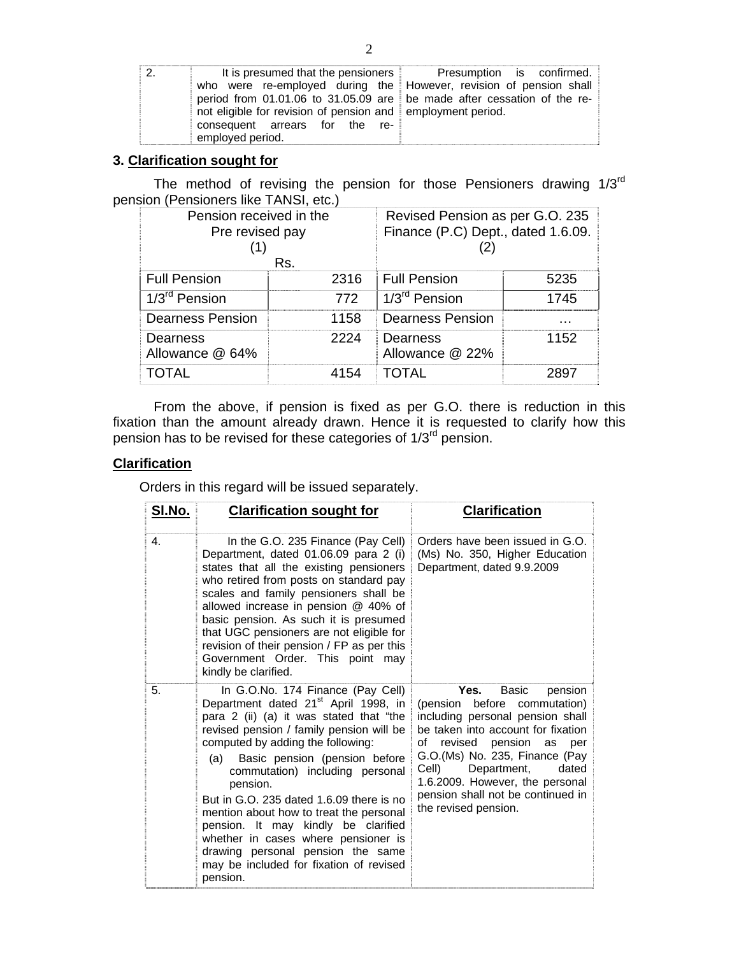| 2. |                                                                         | It is presumed that the pensioners Presumption is confirmed. |
|----|-------------------------------------------------------------------------|--------------------------------------------------------------|
|    | who were re-employed during the However, revision of pension shall      |                                                              |
|    | period from 01.01.06 to 31.05.09 are be made after cessation of the re- |                                                              |
|    | not eligible for revision of pension and employment period.             |                                                              |
|    | consequent arrears for the re-                                          |                                                              |
|    | employed period.                                                        |                                                              |

## **3. Clarification sought for**

The method of revising the pension for those Pensioners drawing 1/3rd pension (Pensioners like TANSI, etc.)

| Pension received in the<br>Pre revised pay |      | Revised Pension as per G.O. 235<br>Finance (P.C) Dept., dated 1.6.09. |      |
|--------------------------------------------|------|-----------------------------------------------------------------------|------|
| Rs.                                        |      |                                                                       |      |
| <b>Full Pension</b>                        | 2316 | <b>Full Pension</b>                                                   | 5235 |
| 1/3 <sup>rd</sup> Pension                  | 772  | 1/3 <sup>rd</sup> Pension                                             | 1745 |
| <b>Dearness Pension</b>                    | 1158 | <b>Dearness Pension</b>                                               | .    |
| Dearness<br>Allowance @ 64%                | 2224 | Dearness<br>Allowance @ 22%                                           | 1152 |
| <b>TOTAL</b>                               | 4154 | <b>TOTAL</b>                                                          | 2897 |

 From the above, if pension is fixed as per G.O. there is reduction in this fixation than the amount already drawn. Hence it is requested to clarify how this pension has to be revised for these categories of 1/3<sup>rd</sup> pension.

## **Clarification**

Orders in this regard will be issued separately.

| SI.No. | <b>Clarification sought for</b>                                                                                                                                                                                                                                                                                                                                                                                                                                                                                                                                           | <b>Clarification</b>                                                                                                                                                                                                                                                                                                                              |
|--------|---------------------------------------------------------------------------------------------------------------------------------------------------------------------------------------------------------------------------------------------------------------------------------------------------------------------------------------------------------------------------------------------------------------------------------------------------------------------------------------------------------------------------------------------------------------------------|---------------------------------------------------------------------------------------------------------------------------------------------------------------------------------------------------------------------------------------------------------------------------------------------------------------------------------------------------|
| 4.     | In the G.O. 235 Finance (Pay Cell)<br>Department, dated 01.06.09 para 2 (i)<br>states that all the existing pensioners<br>who retired from posts on standard pay<br>scales and family pensioners shall be<br>allowed increase in pension @ 40% of<br>basic pension. As such it is presumed<br>that UGC pensioners are not eligible for<br>revision of their pension / FP as per this<br>Government Order. This point may<br>kindly be clarified.                                                                                                                          | Orders have been issued in G.O.<br>(Ms) No. 350, Higher Education<br>Department, dated 9.9.2009                                                                                                                                                                                                                                                   |
| 5.     | In G.O.No. 174 Finance (Pay Cell)<br>Department dated 21 <sup>st</sup> April 1998, in<br>para 2 (ii) (a) it was stated that "the<br>revised pension / family pension will be<br>computed by adding the following:<br>Basic pension (pension before<br>(a)<br>commutation) including personal<br>pension.<br>But in G.O. 235 dated 1.6.09 there is no<br>mention about how to treat the personal<br>pension. It may kindly be clarified<br>whether in cases where pensioner is<br>drawing personal pension the same<br>may be included for fixation of revised<br>pension. | Yes.<br>Basic<br>pension<br>before<br>(pension<br>commutation)<br>including personal pension shall<br>be taken into account for fixation<br>revised pension<br>of<br>as<br>per<br>G.O.(Ms) No. 235, Finance (Pay<br>Cell)<br>Department,<br>dated<br>1.6.2009. However, the personal<br>pension shall not be continued in<br>the revised pension. |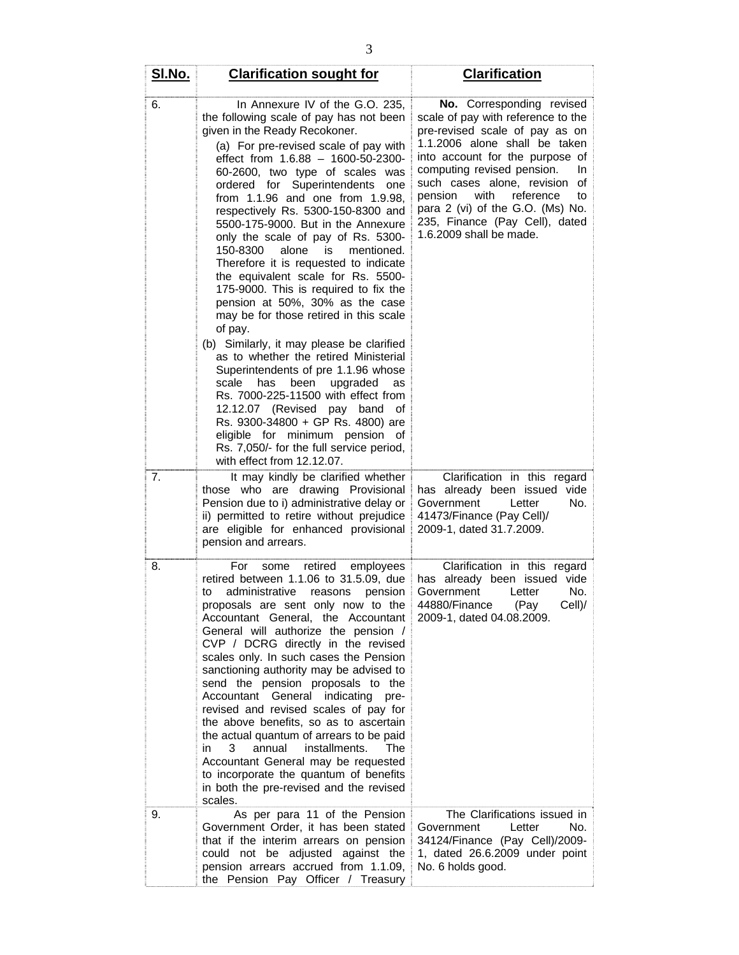| SI.No. | <b>Clarification sought for</b>                                                                                                                                                                                                                                                                                                                                                                                                                                                                                                                                                                                                                                                                                                                                                                                                                                                                                                                                                                                                                                                        | <b>Clarification</b>                                                                                                                                                                                                                                                                                                                                                                 |
|--------|----------------------------------------------------------------------------------------------------------------------------------------------------------------------------------------------------------------------------------------------------------------------------------------------------------------------------------------------------------------------------------------------------------------------------------------------------------------------------------------------------------------------------------------------------------------------------------------------------------------------------------------------------------------------------------------------------------------------------------------------------------------------------------------------------------------------------------------------------------------------------------------------------------------------------------------------------------------------------------------------------------------------------------------------------------------------------------------|--------------------------------------------------------------------------------------------------------------------------------------------------------------------------------------------------------------------------------------------------------------------------------------------------------------------------------------------------------------------------------------|
| 6.     | In Annexure IV of the G.O. 235,<br>the following scale of pay has not been<br>given in the Ready Recokoner.<br>(a) For pre-revised scale of pay with<br>effect from 1.6.88 - 1600-50-2300-<br>60-2600, two type of scales was<br>ordered for Superintendents<br>one<br>from 1.1.96 and one from 1.9.98,<br>respectively Rs. 5300-150-8300 and<br>5500-175-9000. But in the Annexure<br>only the scale of pay of Rs. 5300-<br>150-8300<br>alone<br>is<br>mentioned.<br>Therefore it is requested to indicate<br>the equivalent scale for Rs. 5500-<br>175-9000. This is required to fix the<br>pension at 50%, 30% as the case<br>may be for those retired in this scale<br>of pay.<br>(b) Similarly, it may please be clarified<br>as to whether the retired Ministerial<br>Superintendents of pre 1.1.96 whose<br>scale<br>been<br>upgraded<br>has<br>as<br>Rs. 7000-225-11500 with effect from<br>12.12.07 (Revised pay band<br>οf<br>Rs. 9300-34800 + GP Rs. 4800) are<br>eligible for minimum pension of<br>Rs. 7,050/- for the full service period,<br>with effect from 12.12.07. | No. Corresponding revised<br>scale of pay with reference to the<br>pre-revised scale of pay as on<br>1.1.2006 alone shall be taken<br>into account for the purpose of<br>computing revised pension.<br>In<br>such cases alone, revision<br>οf<br>with<br>reference<br>pension<br>to<br>para 2 (vi) of the G.O. (Ms) No.<br>235, Finance (Pay Cell), dated<br>1.6.2009 shall be made. |
| 7.     | It may kindly be clarified whether<br>those who are drawing Provisional<br>Pension due to i) administrative delay or<br>ii) permitted to retire without prejudice<br>are eligible for enhanced provisional<br>pension and arrears.                                                                                                                                                                                                                                                                                                                                                                                                                                                                                                                                                                                                                                                                                                                                                                                                                                                     | Clarification in this regard<br>has already been issued vide<br>No.<br>Government<br>Letter<br>41473/Finance (Pay Cell)/<br>2009-1, dated 31.7.2009.                                                                                                                                                                                                                                 |
| 8.     | For<br>retired<br>employees<br>some<br>retired between 1.1.06 to 31.5.09, due<br>administrative<br>to<br>reasons<br>pension<br>proposals are sent only now to the<br>Accountant General, the Accountant<br>General will authorize the pension /<br>CVP / DCRG directly in the revised<br>scales only. In such cases the Pension<br>sanctioning authority may be advised to<br>send the pension proposals to the<br>Accountant General indicating<br>pre-<br>revised and revised scales of pay for<br>the above benefits, so as to ascertain<br>the actual quantum of arrears to be paid<br>3<br>annual<br>installments.<br>The<br>in<br>Accountant General may be requested<br>to incorporate the quantum of benefits<br>in both the pre-revised and the revised<br>scales.                                                                                                                                                                                                                                                                                                            | Clarification in this regard<br>has already been issued vide<br>Government<br>No.<br>Letter<br>44880/Finance (Pay<br>Cell)/<br>2009-1, dated 04.08.2009.                                                                                                                                                                                                                             |
| 9.     | As per para 11 of the Pension<br>Government Order, it has been stated<br>that if the interim arrears on pension<br>could not be adjusted against the<br>pension arrears accrued from 1.1.09,<br>the Pension Pay Officer / Treasury                                                                                                                                                                                                                                                                                                                                                                                                                                                                                                                                                                                                                                                                                                                                                                                                                                                     | The Clarifications issued in<br>Government<br>No.<br>Letter<br>34124/Finance (Pay Cell)/2009-<br>1, dated 26.6.2009 under point<br>No. 6 holds good.                                                                                                                                                                                                                                 |